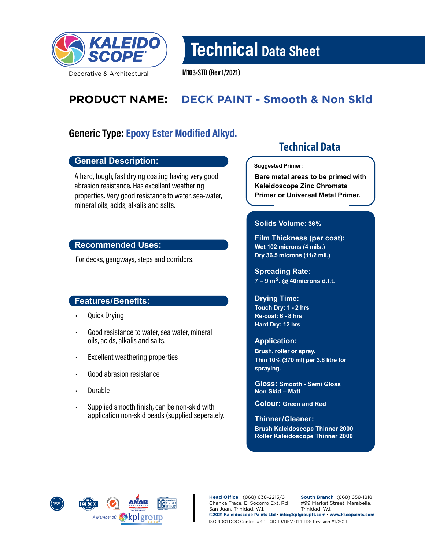

Technical Data Sheet

M103-STD (Rev 1/2021)

# **PRODUCT NAME: DECK PAINT - Smooth & Non Skid**

### Generic Type: Epoxy Ester Modified Alkyd.

### **General Description:**

A hard, tough, fast drying coating having very good abrasion resistance. Has excellent weathering properties. Very good resistance to water, sea-water, mineral oils, acids, alkalis and salts.

### **Recommended Uses:**

For decks, gangways, steps and corridors.

### **Features/Benefits:**

- Quick Drying
- Good resistance to water, sea water, mineral oils, acids, alkalis and salts.
- Excellent weathering properties
- Good abrasion resistance
- Durable
- Supplied smooth finish, can be non-skid with application non-skid beads (supplied seperately.

## **Technical Data**

#### **Suggested Primer:**

**Bare metal areas to be primed with Kaleidoscope Zinc Chromate Primer or Universal Metal Primer.**

### **Solids Volume: 36%**

**Film Thickness (per coat): Wet 102 microns (4 mils.) Dry 36.5 microns (11/2 mil.)**

**Spreading Rate: 7 – 9 m2. @ 40microns d.f.t.**

**Drying Time: Touch Dry: 1 - 2 hrs Re-coat: 6 - 8 hrs Hard Dry: 12 hrs**

#### **Application:**

**Brush, roller or spray. Thin 10% (370 ml) per 3.8 litre for spraying.**

**Gloss: Smooth - Semi Gloss Non Skid – Matt**

**Colour: Green and Red**

**Thinner/ Cleaner:** 

**Brush Kaleidoscope Thinner 2000 Roller Kaleidoscope Thinner 2000**



**Head Office** (868) 638-2213/6 Chanka Trace, El Socorro Ext. Rd San Juan, Trinidad, W.I. **South Branch** (868) 658-1818 #99 Market Street, Marabella, Trinidad, W.I. **©2021 Kaleidoscope Paints Ltd • info@kplgrouptt.com • www.kscopaints.com** ISO 9001 DOC Control #KPL-QD-19/REV 01-1 TDS Revision #1/2021